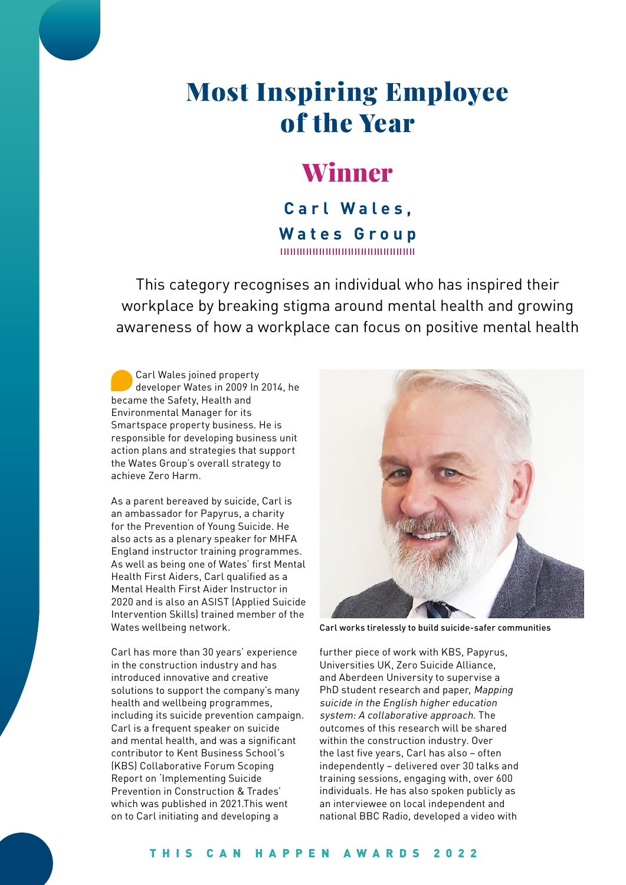# Most Inspiring Employee of the Year

## Winner

**Carl Wales, Wates Group** 100000000000000000000000

This category recognises an individual who has inspired their workplace by breaking stigma around mental health and growing awareness of how a workplace can focus on positive mental health

Carl Wales joined property developer Wates in 2009 In 2014, he became the Safety, Health and Environmental Manager for its Smartspace property business. He is responsible for developing business unit action plans and strategies that support the Wates Group's overall strategy to achieve Zero Harm.

As a parent bereaved by suicide, Carl is an ambassador for Papyrus, a charity for the Prevention of Young Suicide. He also acts as a plenary speaker for MHFA England instructor training programmes. As well as being one of Wates' first Mental Health First Aiders, Carl qualified as a Mental Health First Aider Instructor in 2020 and is also an ASIST (Applied Suicide Intervention Skills) trained member of the Wates wellbeing network.

Carl has more than 30 years' experience in the construction industry and has introduced innovative and creative solutions to support the company's many health and wellbeing programmes, including its suicide prevention campaign. Carl is a frequent speaker on suicide and mental health, and was a significant contributor to Kent Business School's (KBS) Collaborative Forum Scoping Report on 'Implementing Suicide Prevention in Construction & Trades' which was published in 2021.This went on to Carl initiating and developing a



Carl works tirelessly to build suicide-safer communities

further piece of work with KBS, Papyrus, Universities UK, Zero Suicide Alliance, and Aberdeen University to supervise a PhD student research and paper, Mapping suicide in the English higher education system: A collaborative approach. The outcomes of this research will be shared within the construction industry. Over the last five years, Carl has also – often independently – delivered over 30 talks and training sessions, engaging with, over 600 individuals. He has also spoken publicly as an interviewee on local independent and national BBC Radio, developed a video with